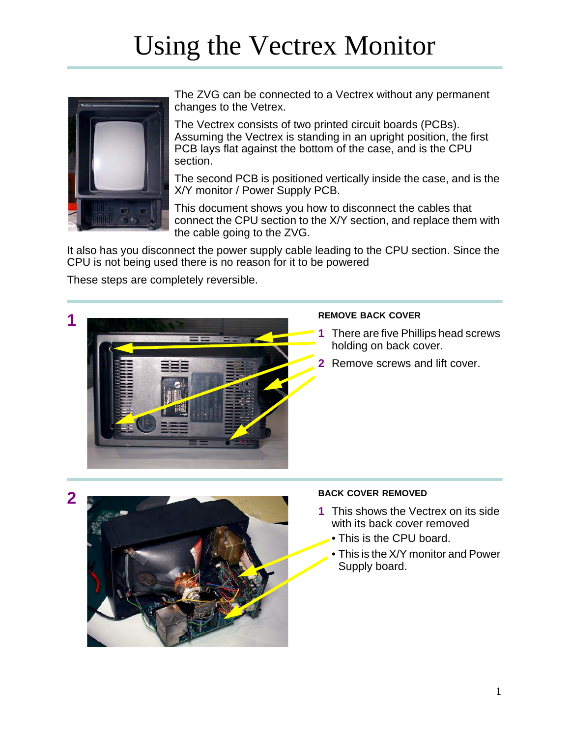# Using the Vectrex Monitor



The ZVG can be connected to a Vectrex without any permanent changes to the Vetrex.

The Vectrex consists of two printed circuit boards (PCBs). Assuming the Vectrex is standing in an upright position, the first PCB lays flat against the bottom of the case, and is the CPU section.

The second PCB is positioned vertically inside the case, and is the X/Y monitor / Power Supply PCB.

This document shows you how to disconnect the cables that connect the CPU section to the X/Y section, and replace them with the cable going to the ZVG.

It also has you disconnect the power supply cable leading to the CPU section. Since the CPU is not being used there is no reason for it to be powered

These steps are completely reversible.



- **1** There are five Phillips head screws holding on back cover.
- **2** Remove screws and lift cover.



- **1** This shows the Vectrex on its side with its back cover removed
	- This is the CPU board.
	- This is the X/Y monitor and Power Supply board.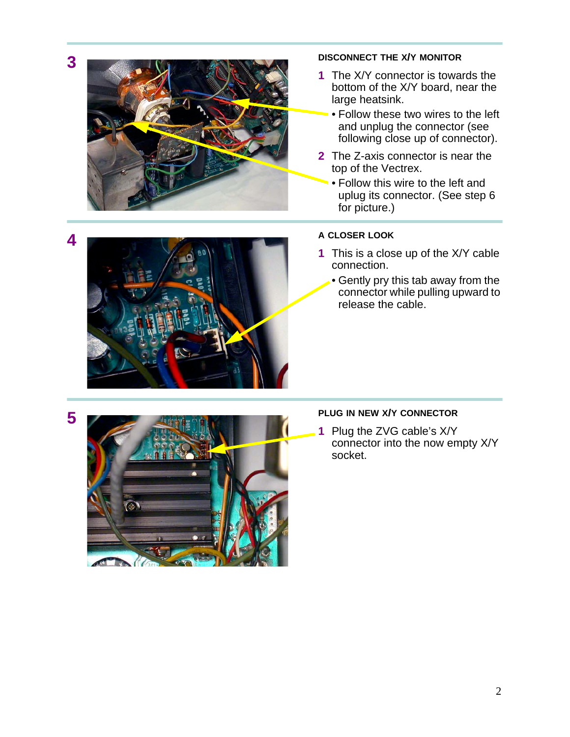



- **1** The X/Y connector is towards the bottom of the X/Y board, near the large heatsink.
	- Follow these two wires to the left and unplug the connector (see following close up of connector).
- **2** The Z-axis connector is near the top of the Vectrex.
	- Follow this wire to the left and uplug its connector. (See step 6 for picture.)



- **1** This is a close up of the X/Y cable connection.
	- Gently pry this tab away from the connector while pulling upward to release the cable.



**1** Plug the ZVG cable's X/Y connector into the now empty X/Y socket.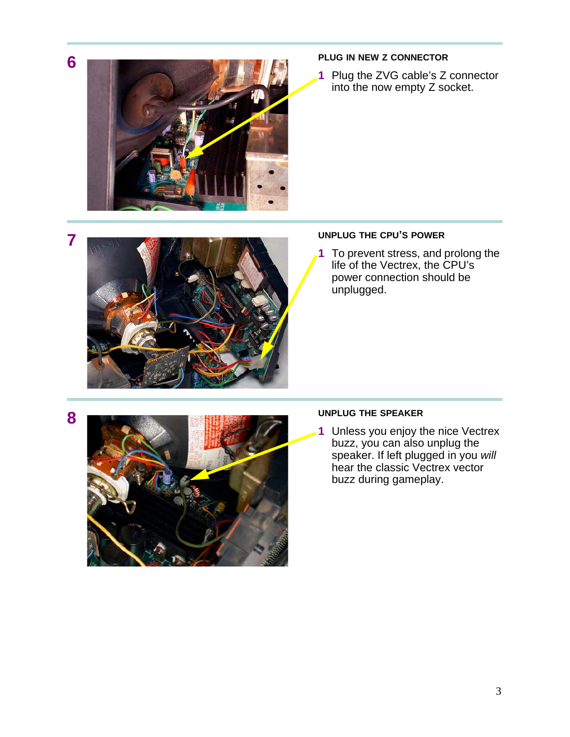

**1** Plug the ZVG cable's Z connector into the now empty Z socket.

## **7 UNPLUG THE CPU'S POWER**

**1** To prevent stress, and prolong the life of the Vectrex, the CPU's power connection should be unplugged.



**1** Unless you enjoy the nice Vectrex buzz, you can also unplug the speaker. If left plugged in you *will* hear the classic Vectrex vector buzz during gameplay.